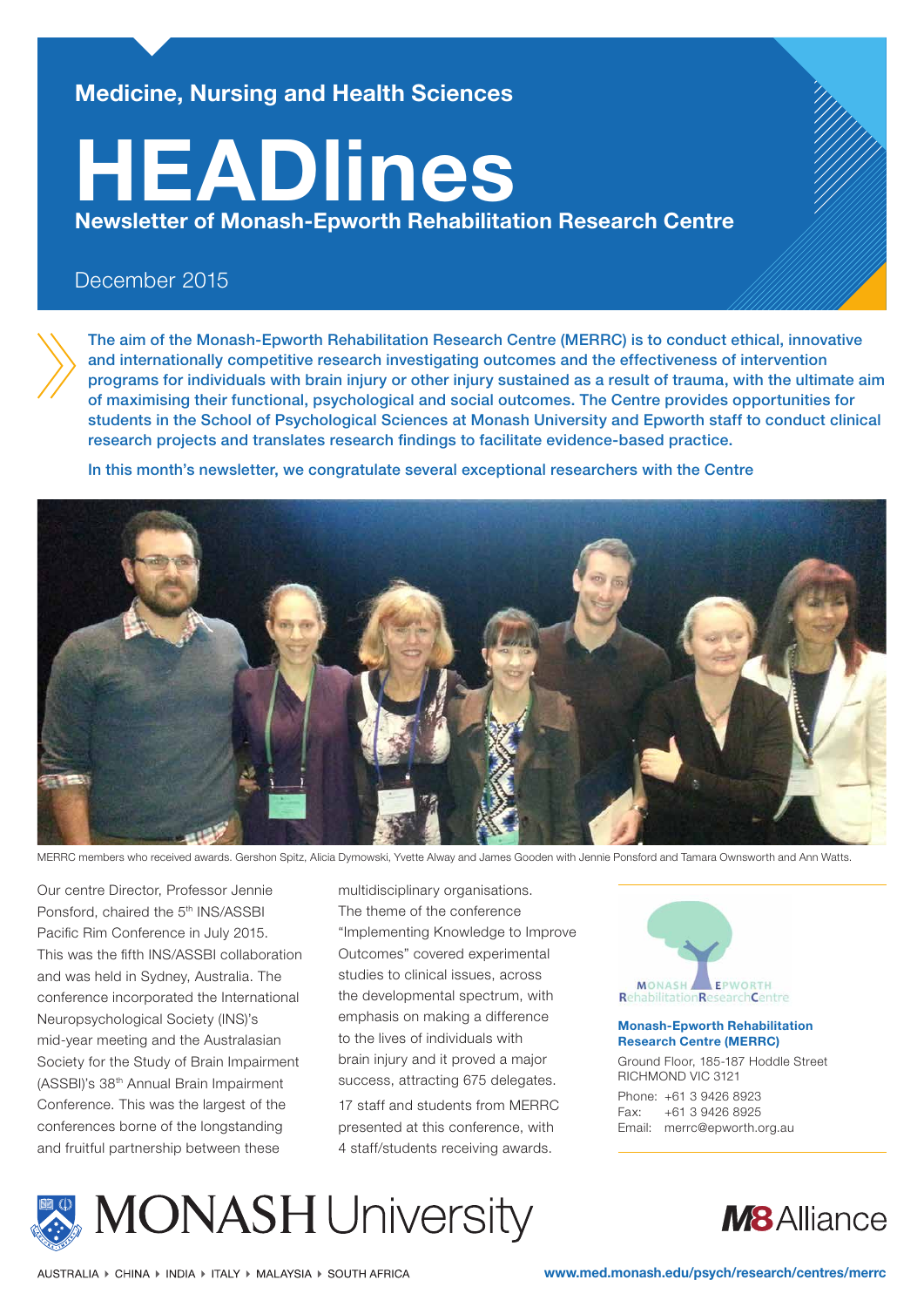## **Medicine, Nursing and Health Sciences**

# **HEADlines**

**Newsletter of Monash-Epworth Rehabilitation Research Centre**

### December 2015

The aim of the Monash-Epworth Rehabilitation Research Centre (MERRC) is to conduct ethical, innovative and internationally competitive research investigating outcomes and the effectiveness of intervention programs for individuals with brain injury or other injury sustained as a result of trauma, with the ultimate aim of maximising their functional, psychological and social outcomes. The Centre provides opportunities for students in the School of Psychological Sciences at Monash University and Epworth staff to conduct clinical research projects and translates research findings to facilitate evidence-based practice.

In this month's newsletter, we congratulate several exceptional researchers with the Centre



MERRC members who received awards. Gershon Spitz, Alicia Dymowski, Yvette Alway and James Gooden with Jennie Ponsford and Tamara Ownsworth and Ann Watts.

Our centre Director, Professor Jennie Ponsford, chaired the 5<sup>th</sup> INS/ASSBI Pacific Rim Conference in July 2015. This was the fifth INS/ASSBI collaboration and was held in Sydney, Australia. The conference incorporated the International Neuropsychological Society (INS)'s mid-year meeting and the Australasian Society for the Study of Brain Impairment (ASSBI)'s 38th Annual Brain Impairment Conference. This was the largest of the conferences borne of the longstanding and fruitful partnership between these

multidisciplinary organisations. The theme of the conference "Implementing Knowledge to Improve Outcomes" covered experimental studies to clinical issues, across the developmental spectrum, with emphasis on making a difference to the lives of individuals with brain injury and it proved a major success, attracting 675 delegates. 17 staff and students from MERRC presented at this conference, with 4 staff/students receiving awards.



#### **Monash-Epworth Rehabilitation Research Centre (MERRC)**

Ground Floor, 185-187 Hoddle Street RICHMOND VIC 3121 Phone: +61 3 9426 8923

Fax: +61 3 9426 8925 Email: merrc@epworth.org.au



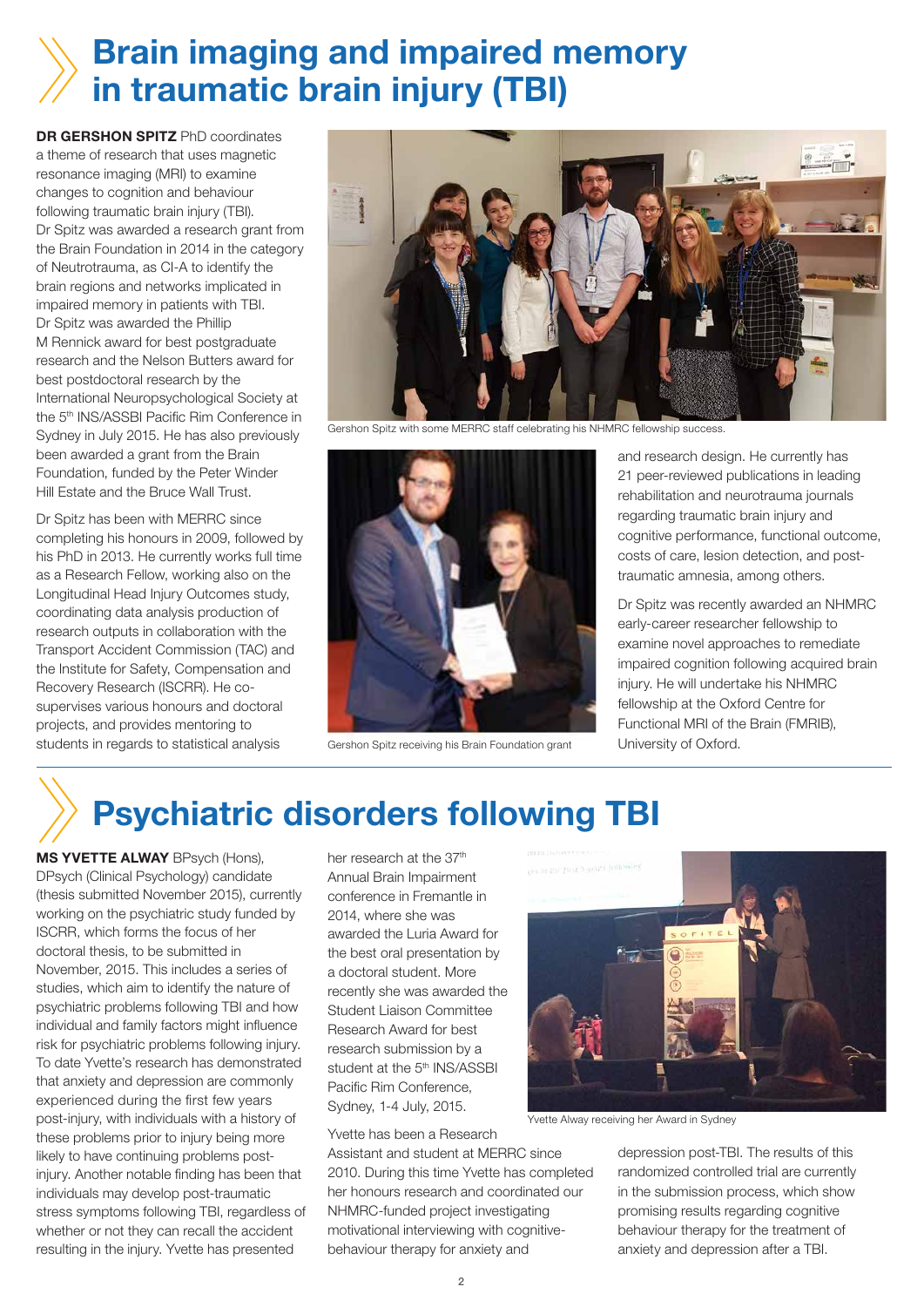# **Brain imaging and impaired memory in traumatic brain injury (TBI)**

**DR GERSHON SPITZ** PhD coordinates a theme of research that uses magnetic resonance imaging (MRI) to examine changes to cognition and behaviour following traumatic brain injury (TBI). Dr Spitz was awarded a research grant from the Brain Foundation in 2014 in the category of Neutrotrauma, as CI-A to identify the brain regions and networks implicated in impaired memory in patients with TBI. Dr Spitz was awarded the Phillip M Rennick award for best postgraduate research and the Nelson Butters award for best postdoctoral research by the International Neuropsychological Society at the 5th INS/ASSBI Pacific Rim Conference in Sydney in July 2015. He has also previously been awarded a grant from the Brain Foundation, funded by the Peter Winder Hill Estate and the Bruce Wall Trust.

Dr Spitz has been with MERRC since completing his honours in 2009, followed by his PhD in 2013. He currently works full time as a Research Fellow, working also on the Longitudinal Head Injury Outcomes study, coordinating data analysis production of research outputs in collaboration with the Transport Accident Commission (TAC) and the Institute for Safety, Compensation and Recovery Research (ISCRR). He cosupervises various honours and doctoral projects, and provides mentoring to students in regards to statistical analysis



Gershon Spitz with some MERRC staff celebrating his NHMRC fellowship success.



Gershon Spitz receiving his Brain Foundation grant

and research design. He currently has 21 peer-reviewed publications in leading rehabilitation and neurotrauma journals regarding traumatic brain injury and cognitive performance, functional outcome, costs of care, lesion detection, and posttraumatic amnesia, among others.

Dr Spitz was recently awarded an NHMRC early-career researcher fellowship to examine novel approaches to remediate impaired cognition following acquired brain injury. He will undertake his NHMRC fellowship at the Oxford Centre for Functional MRI of the Brain (FMRIB), University of Oxford.

# **Psychiatric disorders following TBI**

**MS YVETTE ALWAY** BPsych (Hons), DPsych (Clinical Psychology) candidate (thesis submitted November 2015), currently working on the psychiatric study funded by ISCRR, which forms the focus of her doctoral thesis, to be submitted in November, 2015. This includes a series of studies, which aim to identify the nature of psychiatric problems following TBI and how individual and family factors might influence risk for psychiatric problems following injury. To date Yvette's research has demonstrated that anxiety and depression are commonly experienced during the first few years post-injury, with individuals with a history of these problems prior to injury being more likely to have continuing problems postinjury. Another notable finding has been that individuals may develop post-traumatic stress symptoms following TBI, regardless of whether or not they can recall the accident resulting in the injury. Yvette has presented

her research at the 37<sup>th</sup> Annual Brain Impairment conference in Fremantle in 2014, where she was awarded the Luria Award for the best oral presentation by a doctoral student. More recently she was awarded the Student Liaison Committee Research Award for best research submission by a student at the 5<sup>th</sup> INS/ASSBI Pacific Rim Conference, Sydney, 1-4 July, 2015.

Yvette has been a Research

Assistant and student at MERRC since 2010. During this time Yvette has completed her honours research and coordinated our NHMRC-funded project investigating motivational interviewing with cognitivebehaviour therapy for anxiety and



Yvette Alway receiving her Award in Sydney

depression post-TBI. The results of this randomized controlled trial are currently in the submission process, which show promising results regarding cognitive behaviour therapy for the treatment of anxiety and depression after a TBI.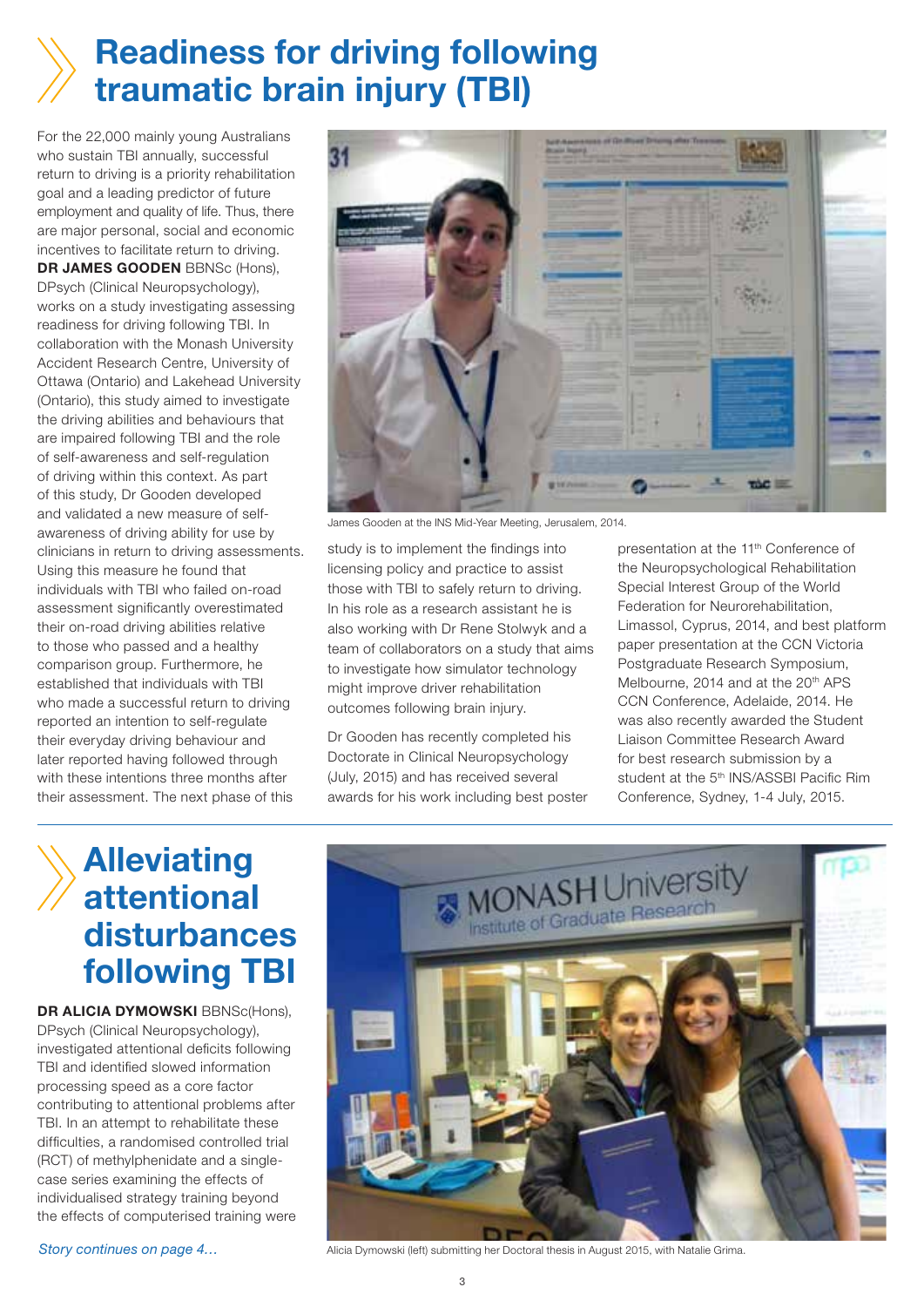## **Readiness for driving following traumatic brain injury (TBI)**

For the 22,000 mainly young Australians who sustain TBI annually, successful return to driving is a priority rehabilitation goal and a leading predictor of future employment and quality of life. Thus, there are major personal, social and economic incentives to facilitate return to driving. **DR JAMES GOODEN** BBNSc (Hons), DPsych (Clinical Neuropsychology), works on a study investigating assessing readiness for driving following TBI. In collaboration with the Monash University Accident Research Centre, University of Ottawa (Ontario) and Lakehead University (Ontario), this study aimed to investigate the driving abilities and behaviours that are impaired following TBI and the role of self-awareness and self-regulation of driving within this context. As part of this study, Dr Gooden developed and validated a new measure of selfawareness of driving ability for use by clinicians in return to driving assessments. Using this measure he found that individuals with TBI who failed on-road assessment significantly overestimated their on-road driving abilities relative to those who passed and a healthy comparison group. Furthermore, he established that individuals with TBI who made a successful return to driving reported an intention to self-regulate their everyday driving behaviour and later reported having followed through with these intentions three months after their assessment. The next phase of this



James Gooden at the INS Mid-Year Meeting, Jerusalem, 2014.

study is to implement the findings into licensing policy and practice to assist those with TBI to safely return to driving. In his role as a research assistant he is also working with Dr Rene Stolwyk and a team of collaborators on a study that aims to investigate how simulator technology might improve driver rehabilitation outcomes following brain injury.

Dr Gooden has recently completed his Doctorate in Clinical Neuropsychology (July, 2015) and has received several awards for his work including best poster presentation at the 11<sup>th</sup> Conference of the Neuropsychological Rehabilitation Special Interest Group of the World Federation for Neurorehabilitation, Limassol, Cyprus, 2014, and best platform paper presentation at the CCN Victoria Postgraduate Research Symposium, Melbourne, 2014 and at the 20<sup>th</sup> APS CCN Conference, Adelaide, 2014. He was also recently awarded the Student Liaison Committee Research Award for best research submission by a student at the 5<sup>th</sup> INS/ASSBI Pacific Rim Conference, Sydney, 1-4 July, 2015.

## **Alleviating attentional disturbances following TBI**

**DR ALICIA DYMOWSKI** BBNSc(Hons), DPsych (Clinical Neuropsychology), investigated attentional deficits following TBI and identified slowed information processing speed as a core factor contributing to attentional problems after TBI. In an attempt to rehabilitate these difficulties, a randomised controlled trial (RCT) of methylphenidate and a singlecase series examining the effects of individualised strategy training beyond the effects of computerised training were



*Story continues on page 4…* Alicia Dymowski (left) submitting her Doctoral thesis in August 2015, with Natalie Grima.